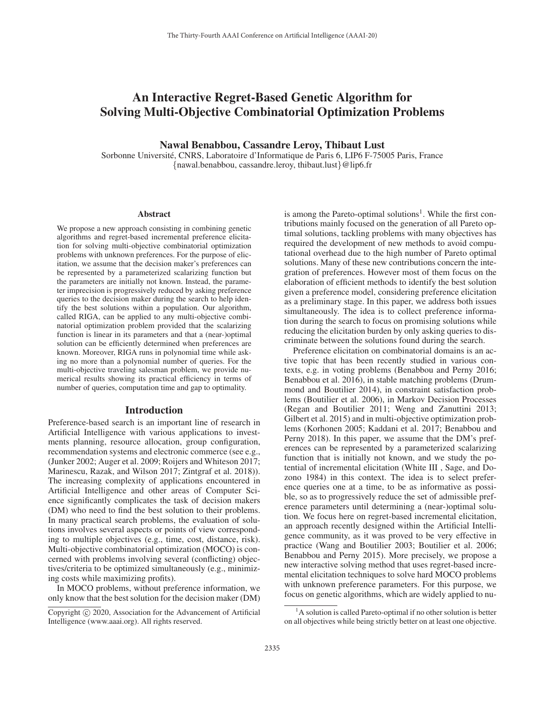# An Interactive Regret-Based Genetic Algorithm for Solving Multi-Objective Combinatorial Optimization Problems

### Nawal Benabbou, Cassandre Leroy, Thibaut Lust

Sorbonne Universite, CNRS, Laboratoire d'Informatique de Paris 6, LIP6 F-75005 Paris, France ´ {nawal.benabbou, cassandre.leroy, thibaut.lust}@lip6.fr

### Abstract

We propose a new approach consisting in combining genetic algorithms and regret-based incremental preference elicitation for solving multi-objective combinatorial optimization problems with unknown preferences. For the purpose of elicitation, we assume that the decision maker's preferences can be represented by a parameterized scalarizing function but the parameters are initially not known. Instead, the parameter imprecision is progressively reduced by asking preference queries to the decision maker during the search to help identify the best solutions within a population. Our algorithm, called RIGA, can be applied to any multi-objective combinatorial optimization problem provided that the scalarizing function is linear in its parameters and that a (near-)optimal solution can be efficiently determined when preferences are known. Moreover, RIGA runs in polynomial time while asking no more than a polynomial number of queries. For the multi-objective traveling salesman problem, we provide numerical results showing its practical efficiency in terms of number of queries, computation time and gap to optimality.

### Introduction

Preference-based search is an important line of research in Artificial Intelligence with various applications to investments planning, resource allocation, group configuration, recommendation systems and electronic commerce (see e.g., (Junker 2002; Auger et al. 2009; Roijers and Whiteson 2017; Marinescu, Razak, and Wilson 2017; Zintgraf et al. 2018)). The increasing complexity of applications encountered in Artificial Intelligence and other areas of Computer Science significantly complicates the task of decision makers (DM) who need to find the best solution to their problems. In many practical search problems, the evaluation of solutions involves several aspects or points of view corresponding to multiple objectives (e.g., time, cost, distance, risk). Multi-objective combinatorial optimization (MOCO) is concerned with problems involving several (conflicting) objectives/criteria to be optimized simultaneously (e.g., minimizing costs while maximizing profits).

In MOCO problems, without preference information, we only know that the best solution for the decision maker (DM)

is among the Pareto-optimal solutions<sup>1</sup>. While the first contributions mainly focused on the generation of all Pareto optimal solutions, tackling problems with many objectives has required the development of new methods to avoid computational overhead due to the high number of Pareto optimal solutions. Many of these new contributions concern the integration of preferences. However most of them focus on the elaboration of efficient methods to identify the best solution given a preference model, considering preference elicitation as a preliminary stage. In this paper, we address both issues simultaneously. The idea is to collect preference information during the search to focus on promising solutions while reducing the elicitation burden by only asking queries to discriminate between the solutions found during the search.

Preference elicitation on combinatorial domains is an active topic that has been recently studied in various contexts, e.g. in voting problems (Benabbou and Perny 2016; Benabbou et al. 2016), in stable matching problems (Drummond and Boutilier 2014), in constraint satisfaction problems (Boutilier et al. 2006), in Markov Decision Processes (Regan and Boutilier 2011; Weng and Zanuttini 2013; Gilbert et al. 2015) and in multi-objective optimization problems (Korhonen 2005; Kaddani et al. 2017; Benabbou and Perny 2018). In this paper, we assume that the DM's preferences can be represented by a parameterized scalarizing function that is initially not known, and we study the potential of incremental elicitation (White III , Sage, and Dozono 1984) in this context. The idea is to select preference queries one at a time, to be as informative as possible, so as to progressively reduce the set of admissible preference parameters until determining a (near-)optimal solution. We focus here on regret-based incremental elicitation, an approach recently designed within the Artificial Intelligence community, as it was proved to be very effective in practice (Wang and Boutilier 2003; Boutilier et al. 2006; Benabbou and Perny 2015). More precisely, we propose a new interactive solving method that uses regret-based incremental elicitation techniques to solve hard MOCO problems with unknown preference parameters. For this purpose, we focus on genetic algorithms, which are widely applied to nu-

Copyright  $\odot$  2020, Association for the Advancement of Artificial Intelligence (www.aaai.org). All rights reserved.

<sup>&</sup>lt;sup>1</sup>A solution is called Pareto-optimal if no other solution is better on all objectives while being strictly better on at least one objective.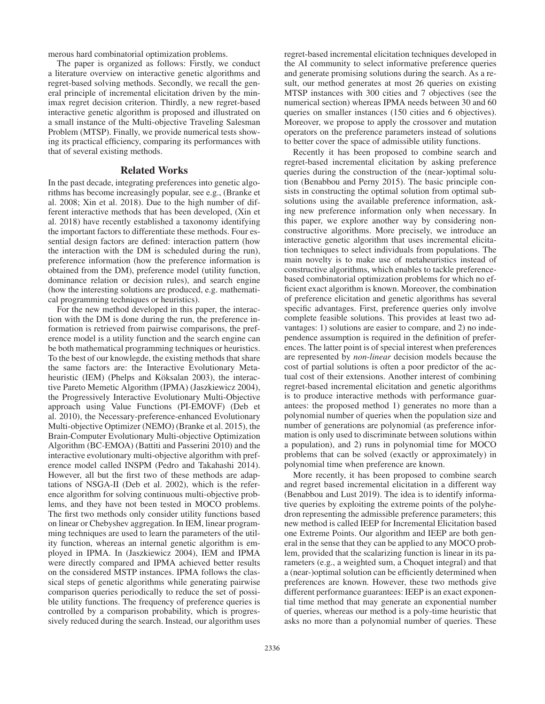merous hard combinatorial optimization problems.

The paper is organized as follows: Firstly, we conduct a literature overview on interactive genetic algorithms and regret-based solving methods. Secondly, we recall the general principle of incremental elicitation driven by the minimax regret decision criterion. Thirdly, a new regret-based interactive genetic algorithm is proposed and illustrated on a small instance of the Multi-objective Traveling Salesman Problem (MTSP). Finally, we provide numerical tests showing its practical efficiency, comparing its performances with that of several existing methods.

### Related Works

In the past decade, integrating preferences into genetic algorithms has become increasingly popular, see e.g., (Branke et al. 2008; Xin et al. 2018). Due to the high number of different interactive methods that has been developed, (Xin et al. 2018) have recently established a taxonomy identifying the important factors to differentiate these methods. Four essential design factors are defined: interaction pattern (how the interaction with the DM is scheduled during the run), preference information (how the preference information is obtained from the DM), preference model (utility function, dominance relation or decision rules), and search engine (how the interesting solutions are produced, e.g. mathematical programming techniques or heuristics).

For the new method developed in this paper, the interaction with the DM is done during the run, the preference information is retrieved from pairwise comparisons, the preference model is a utility function and the search engine can be both mathematical programming techniques or heuristics. To the best of our knowlegde, the existing methods that share the same factors are: the Interactive Evolutionary Metaheuristic (IEM) (Phelps and Köksalan 2003), the interactive Pareto Memetic Algorithm (IPMA) (Jaszkiewicz 2004), the Progressively Interactive Evolutionary Multi-Objective approach using Value Functions (PI-EMOVF) (Deb et al. 2010), the Necessary-preference-enhanced Evolutionary Multi-objective Optimizer (NEMO) (Branke et al. 2015), the Brain-Computer Evolutionary Multi-objective Optimization Algorithm (BC-EMOA) (Battiti and Passerini 2010) and the interactive evolutionary multi-objective algorithm with preference model called INSPM (Pedro and Takahashi 2014). However, all but the first two of these methods are adaptations of NSGA-II (Deb et al. 2002), which is the reference algorithm for solving continuous multi-objective problems, and they have not been tested in MOCO problems. The first two methods only consider utility functions based on linear or Chebyshev aggregation. In IEM, linear programming techniques are used to learn the parameters of the utility function, whereas an internal genetic algorithm is employed in IPMA. In (Jaszkiewicz 2004), IEM and IPMA were directly compared and IPMA achieved better results on the considered MSTP instances. IPMA follows the classical steps of genetic algorithms while generating pairwise comparison queries periodically to reduce the set of possible utility functions. The frequency of preference queries is controlled by a comparison probability, which is progressively reduced during the search. Instead, our algorithm uses

regret-based incremental elicitation techniques developed in the AI community to select informative preference queries and generate promising solutions during the search. As a result, our method generates at most 26 queries on existing MTSP instances with 300 cities and 7 objectives (see the numerical section) whereas IPMA needs between 30 and 60 queries on smaller instances (150 cities and 6 objectives). Moreover, we propose to apply the crossover and mutation operators on the preference parameters instead of solutions to better cover the space of admissible utility functions.

Recently it has been proposed to combine search and regret-based incremental elicitation by asking preference queries during the construction of the (near-)optimal solution (Benabbou and Perny 2015). The basic principle consists in constructing the optimal solution from optimal subsolutions using the available preference information, asking new preference information only when necessary. In this paper, we explore another way by considering nonconstructive algorithms. More precisely, we introduce an interactive genetic algorithm that uses incremental elicitation techniques to select individuals from populations. The main novelty is to make use of metaheuristics instead of constructive algorithms, which enables to tackle preferencebased combinatorial optimization problems for which no efficient exact algorithm is known. Moreover, the combination of preference elicitation and genetic algorithms has several specific advantages. First, preference queries only involve complete feasible solutions. This provides at least two advantages: 1) solutions are easier to compare, and 2) no independence assumption is required in the definition of preferences. The latter point is of special interest when preferences are represented by *non-linear* decision models because the cost of partial solutions is often a poor predictor of the actual cost of their extensions. Another interest of combining regret-based incremental elicitation and genetic algorithms is to produce interactive methods with performance guarantees: the proposed method 1) generates no more than a polynomial number of queries when the population size and number of generations are polynomial (as preference information is only used to discriminate between solutions within a population), and 2) runs in polynomial time for MOCO problems that can be solved (exactly or approximately) in polynomial time when preference are known.

More recently, it has been proposed to combine search and regret based incremental elicitation in a different way (Benabbou and Lust 2019). The idea is to identify informative queries by exploiting the extreme points of the polyhedron representing the admissible preference parameters; this new method is called IEEP for Incremental Elicitation based one Extreme Points. Our algorithm and IEEP are both general in the sense that they can be applied to any MOCO problem, provided that the scalarizing function is linear in its parameters (e.g., a weighted sum, a Choquet integral) and that a (near-)optimal solution can be efficiently determined when preferences are known. However, these two methods give different performance guarantees: IEEP is an exact exponential time method that may generate an exponential number of queries, whereas our method is a poly-time heuristic that asks no more than a polynomial number of queries. These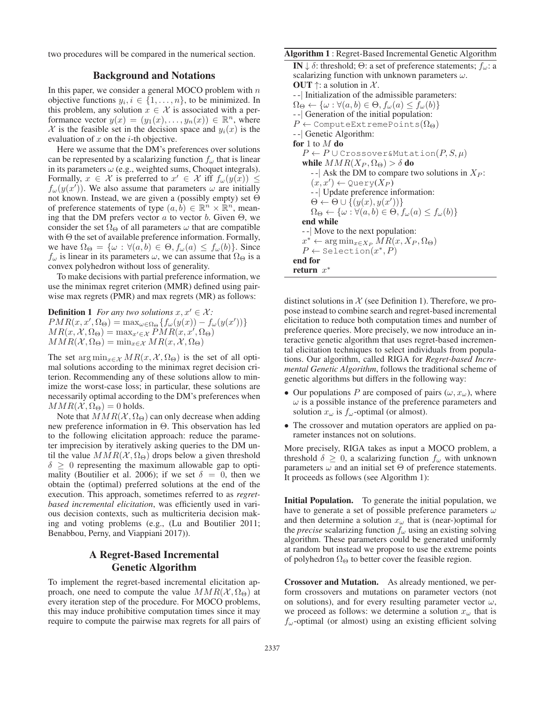two procedures will be compared in the numerical section.

## Background and Notations

In this paper, we consider a general MOCO problem with  $n$ objective functions  $y_i, i \in \{1, \ldots, n\}$ , to be minimized. In this problem, any solution  $x \in \mathcal{X}$  is associated with a performance vector  $y(x)=(y_1(x),...,y_n(x)) \in \mathbb{R}^n$ , where X is the feasible set in the decision space and  $y_i(x)$  is the evaluation of  $x$  on the  $i$ -th objective.

Here we assume that the DM's preferences over solutions can be represented by a scalarizing function  $f_{\omega}$  that is linear in its parameters  $\omega$  (e.g., weighted sums, Choquet integrals). Formally,  $x \in \mathcal{X}$  is preferred to  $x' \in \mathcal{X}$  iff  $f_{\omega}(y(x)) \le$ <br> $f_{\omega}(y(x'))$  We also assume that parameters  $\omega$  are initially  $f_{\omega}(y(x'))$ . We also assume that parameters  $\omega$  are initially not known. Instead, we are given a (possibly empty) set  $\Theta$ not known. Instead, we are given a (possibly empty) set Θ of preference statements of type  $(a, b) \in \mathbb{R}^n \times \mathbb{R}^n$ , meaning that the DM prefers vector a to vector b. Given  $\Theta$ , we consider the set  $\Omega_{\Theta}$  of all parameters  $\omega$  that are compatible with  $\Theta$  the set of available preference information. Formally, we have  $\Omega_{\Theta} = {\omega : \forall (a, b) \in \Theta, f_{\omega}(a) \leq f_{\omega}(b)}$ . Since  $f_{\omega}$  is linear in its parameters  $\omega$ , we can assume that  $\Omega_{\Theta}$  is a convex polyhedron without loss of generality.

To make decisions with partial preference information, we use the minimax regret criterion (MMR) defined using pairwise max regrets (PMR) and max regrets (MR) as follows:

**Definition 1** For any two solutions  $x, x' \in \mathcal{X}$ :  $PMR(x, x', \Omega_{\Theta}) = \max_{\omega \in \Omega_{\Theta}} \{f_{\omega}(y(x)) - f_{\omega}(y(x'))\}$ <br>  $MR(x, X, \Omega_{\Theta}) = \max_{\omega \in X} PMR(x, x', \Omega_{\Theta})$  $MR(x, \mathcal{X}, \Omega_{\Theta}) = \max_{x' \in \mathcal{X}} PMR(x, x', \Omega_{\Theta})$ <br> $MMR(\mathcal{X}, \Omega_{\Theta}) = \min_{x \in \mathcal{X}} MR(x, \mathcal{X}, \Omega_{\Theta})$  $MMR(\mathcal{X}, \Omega_{\Theta}) = \min_{x \in \mathcal{X}} MR(x, \mathcal{X}, \Omega_{\Theta})$ 

The set  $\arg \min_{x \in \mathcal{X}} MR(x, \mathcal{X}, \Omega_{\Theta})$  is the set of all optimal solutions according to the minimax regret decision criterion. Recommending any of these solutions allow to minimize the worst-case loss; in particular, these solutions are necessarily optimal according to the DM's preferences when  $MMR(X, \Omega_{\Theta})=0$  holds.

Note that  $MMR(\mathcal{X}, \Omega_{\Theta})$  can only decrease when adding new preference information in Θ. This observation has led to the following elicitation approach: reduce the parameter imprecision by iteratively asking queries to the DM until the value  $MMR(\mathcal{X}, \Omega_{\Theta})$  drops below a given threshold  $\delta \geq 0$  representing the maximum allowable gap to optimality (Boutilier et al. 2006); if we set  $\delta = 0$ , then we obtain the (optimal) preferred solutions at the end of the execution. This approach, sometimes referred to as *regretbased incremental elicitation*, was efficiently used in various decision contexts, such as multicriteria decision making and voting problems (e.g., (Lu and Boutilier 2011; Benabbou, Perny, and Viappiani 2017)).

# A Regret-Based Incremental Genetic Algorithm

To implement the regret-based incremental elicitation approach, one need to compute the value  $MMR(\mathcal{X}, \Omega_{\Theta})$  at every iteration step of the procedure. For MOCO problems, this may induce prohibitive computation times since it may require to compute the pairwise max regrets for all pairs of

### Algorithm 1 : Regret-Based Incremental Genetic Algorithm

IN  $\downarrow$  δ: threshold; Θ: a set of preference statements;  $f_\omega$ : a scalarizing function with unknown parameters  $\omega$ . **OUT**  $\uparrow$ : a solution in X. - -| Initialization of the admissible parameters:  $\Omega_{\Theta} \leftarrow {\omega : \forall (a, b) \in \Theta, f_{\omega}(a) \leq f_{\omega}(b)}$ - -| Generation of the initial population:  $P \leftarrow$  ComputeExtremePoints( $\Omega_{\Theta}$ ) - -| Genetic Algorithm: for 1 to  $M$  do  $P \leftarrow P \cup \text{Crossover&\text{Mutation}(P, S, \mu)}$ while  $MMR(X_P, \Omega_\Theta) > \delta$  do  $-$ | Ask the DM to compare two solutions in  $X_P$ :  $(x, x') \leftarrow \mathsf{Query}(X_P)$ <br>- - Undate preference i - -| Update preference information:  $\Theta \leftarrow \Theta \cup \{(y(x), y(x'))\}$ <br>  $\Omega_{\Theta} \leftarrow \{\omega : \forall (a, b) \in \Theta \}$  $\Omega_{\Theta} \leftarrow {\omega : \forall (a, b) \in \Theta, f_{\omega}(a) \leq f_{\omega}(b)}$ end while - -| Move to the next population:  $x^* \leftarrow \arg \min_{x \in X_P} MR(x, X_P, \Omega_\Theta)$  $P \leftarrow$  Selection $(x^*, P)$ end for return x<sup>∗</sup>

distinct solutions in  $X$  (see Definition 1). Therefore, we propose instead to combine search and regret-based incremental elicitation to reduce both computation times and number of preference queries. More precisely, we now introduce an interactive genetic algorithm that uses regret-based incremental elicitation techniques to select individuals from populations. Our algorithm, called RIGA for *Regret-based Incremental Genetic Algorithm*, follows the traditional scheme of genetic algorithms but differs in the following way:

- Our populations P are composed of pairs  $(\omega, x_{\omega})$ , where  $\omega$  is a possible instance of the preference parameters and solution  $x_{\omega}$  is  $f_{\omega}$ -optimal (or almost).
- The crossover and mutation operators are applied on parameter instances not on solutions.

More precisely, RIGA takes as input a MOCO problem, a threshold  $\delta \geq 0$ , a scalarizing function  $f_{\omega}$  with unknown parameters  $\omega$  and an initial set  $\Theta$  of preference statements. It proceeds as follows (see Algorithm 1):

Initial Population. To generate the initial population, we have to generate a set of possible preference parameters  $\omega$ and then determine a solution  $x_{\omega}$  that is (near-)optimal for the *precise* scalarizing function  $f_{\omega}$  using an existing solving algorithm. These parameters could be generated uniformly at random but instead we propose to use the extreme points of polyhedron  $\Omega_{\Theta}$  to better cover the feasible region.

Crossover and Mutation. As already mentioned, we perform crossovers and mutations on parameter vectors (not on solutions), and for every resulting parameter vector  $\omega$ , we proceed as follows: we determine a solution  $x_{\omega}$  that is  $f_{\omega}$ -optimal (or almost) using an existing efficient solving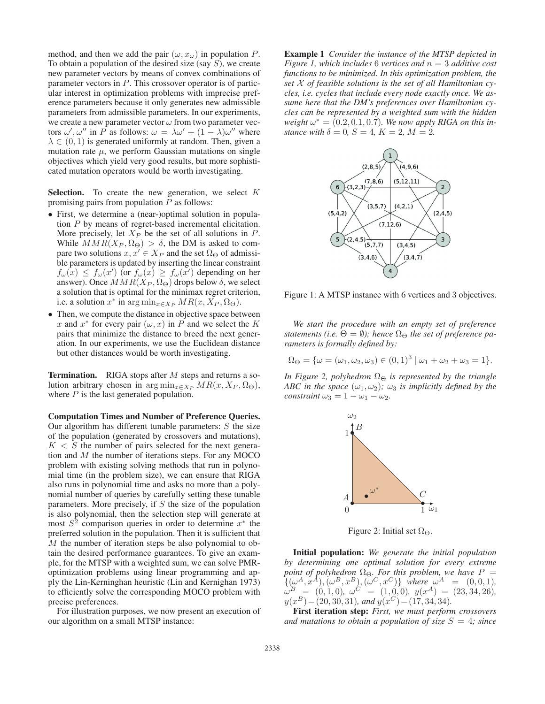method, and then we add the pair  $(\omega, x_{\omega})$  in population P. To obtain a population of the desired size (say  $S$ ), we create new parameter vectors by means of convex combinations of parameter vectors in P. This crossover operator is of particular interest in optimization problems with imprecise preference parameters because it only generates new admissible parameters from admissible parameters. In our experiments, we create a new parameter vector  $\omega$  from two parameter vectors  $\omega', \omega''$  in P as follows:  $\omega = \lambda \omega' + (1 - \lambda) \omega''$  where  $\lambda \in (0, 1)$  is generated uniformly at random. Then given a  $\lambda \in (0, 1)$  is generated uniformly at random. Then, given a mutation rate  $\mu$ , we perform Gaussian mutations on single objectives which yield very good results, but more sophisticated mutation operators would be worth investigating.

**Selection.** To create the new generation, we select  $K$ promising pairs from population  $P$  as follows:

- First, we determine a (near-)optimal solution in population P by means of regret-based incremental elicitation. More precisely, let  $X_P$  be the set of all solutions in  $P$ . While  $MMR(X_P, \Omega_\Theta) > \delta$ , the DM is asked to compare two solutions  $x, x' \in X_P$  and the set  $\Omega_{\Theta}$  of admissible parameters is undated by inserting the linear constraint ble parameters is updated by inserting the linear constraint  $f_{\omega}(x) \le f_{\omega}(x')$  (or  $f_{\omega}(x) \ge f_{\omega}(x')$  depending on her<br>answer). Once  $MMR(X_D, \Omega_O)$  drops below  $\delta$  we select answer). Once  $MMR(X_P, \Omega_\Theta)$  drops below  $\delta$ , we select a solution that is optimal for the minimax regret criterion, i.e. a solution  $x^*$  in  $\arg \min_{x \in X_P} MR(x, X_P, \Omega_\Theta)$ .
- Then, we compute the distance in objective space between x and  $x^*$  for every pair  $(\omega, x)$  in P and we select the K pairs that minimize the distance to breed the next generation. In our experiments, we use the Euclidean distance but other distances would be worth investigating.

Termination. RIGA stops after M steps and returns a solution arbitrary chosen in  $\arg \min_{x \in X_P} MR(x, X_P, \Omega_\Theta)$ , where  $P$  is the last generated population.

Computation Times and Number of Preference Queries. Our algorithm has different tunable parameters:  $S$  the size of the population (generated by crossovers and mutations),  $K < S$  the number of pairs selected for the next generation and  $M$  the number of iterations steps. For any MOCO problem with existing solving methods that run in polynomial time (in the problem size), we can ensure that RIGA also runs in polynomial time and asks no more than a polynomial number of queries by carefully setting these tunable parameters. More precisely, if  $S$  the size of the population is also polynomial, then the selection step will generate at most  $S<sup>2</sup>$  comparison queries in order to determine  $x^*$  the preferred solution in the population. Then it is sufficient that M the number of iteration steps be also polynomial to obtain the desired performance guarantees. To give an example, for the MTSP with a weighted sum, we can solve PMRoptimization problems using linear programming and apply the Lin-Kerninghan heuristic (Lin and Kernighan 1973) to efficiently solve the corresponding MOCO problem with precise preferences.

For illustration purposes, we now present an execution of our algorithm on a small MTSP instance:

Example 1 *Consider the instance of the MTSP depicted in Figure 1, which includes* 6 *vertices and* <sup>n</sup> = 3 *additive cost functions to be minimized. In this optimization problem, the set* X *of feasible solutions is the set of all Hamiltonian cycles, i.e. cycles that include every node exactly once. We assume here that the DM's preferences over Hamiltonian cycles can be represented by a weighted sum with the hidden weight*  $\omega^* = (0.2, 0.1, 0.7)$ *. We now apply RIGA on this instance with*  $\delta = 0$ *,*  $S = 4$ *,*  $K = 2$ *,*  $M = 2$ *.* 



Figure 1: A MTSP instance with 6 vertices and 3 objectives.

*We start the procedure with an empty set of preference statements (i.e.*  $\Theta = \emptyset$ ); hence  $\Omega_{\Theta}$  *the set of preference parameters is formally defined by:*

$$
\Omega_{\Theta} = \{ \omega = (\omega_1, \omega_2, \omega_3) \in (0, 1)^3 \mid \omega_1 + \omega_2 + \omega_3 = 1 \}.
$$

*In Figure 2, polyhedron*  $\Omega_{\Theta}$  *is represented by the triangle ABC in the space*  $(\omega_1, \omega_2)$ *;*  $\omega_3$  *is implicitly defined by the constraint*  $\omega_3 = 1 - \omega_1 - \omega_2$ .



Figure 2: Initial set  $\Omega_{\Theta}$ .

Initial population: *We generate the initial population by determining one optimal solution for every extreme point of polyhedron*  $\Omega_{\Theta}$ *. For this problem, we have*  $P = \{(\omega^A \tau^A)(\omega^B \tau^B)(\omega^C \tau^C)\}$  *where*  $\omega^A = (0, 0, 1)$  $\{(\omega^A, x^{\tilde{A}}), (\omega^B, x^B), (\omega^C, x^C)\}\$  where  $\omega^A = (0, 0, 1),$ <br> $\omega^B = (0, 1, 0), \omega^C = (1, 0, 0),$   $y(x^A) = (23, 34, 26)$  $\omega^B = (0, 1, 0), \ \omega^C = (1, 0, 0), \ y(x^A) = (23, 34, 26),$ <br> $y(x^B) = (20, 30, 31),$  and  $y(x^C) = (17, 34, 34)$  $y(x^B) = (20, 30, 31)$ *, and*  $y(x^C) = (17, 34, 34)$ *.* 

First iteration step: *First, we must perform crossovers* and mutations to obtain a population of size  $S = 4$ ; since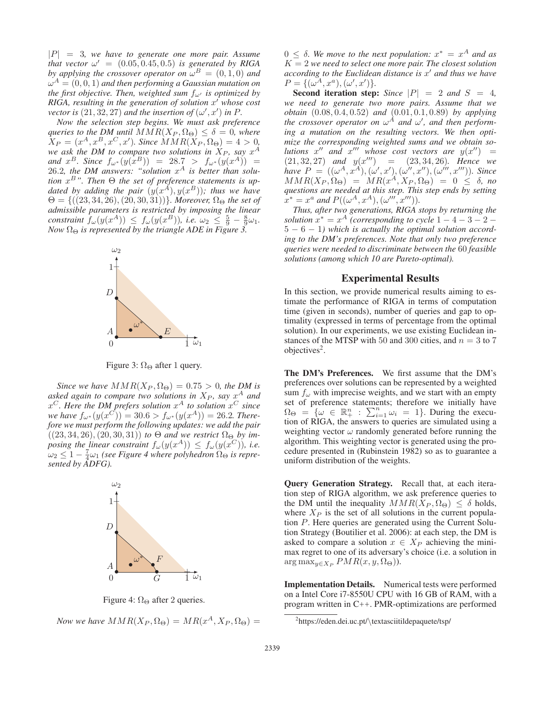<sup>|</sup>P<sup>|</sup> = 3*, we have to generate one more pair. Assume that vector*  $\omega' = (0.05, 0.45, 0.5)$  *is generated by RIGA*<br>*by applying the crossover operator on*  $\omega^B = (0, 1, 0)$  and *by applying the crossover operator on*  $\omega^B = (0, 1, 0)$  *and*  $\omega^A = (0, 0, 1)$  *and then performing a Gaussian mutation on the first objective. Then, weighted sum* fω- *is optimized by RIGA, resulting in the generation of solution* x- *whose cost vector is*  $(21, 32, 27)$  *and the insertion of*  $(\omega', x')$  *in* P.<br>*Now the selection step begins. We must ask preferent* 

*Now the selection step begins. We must ask preference queries to the DM until*  $MMR(X_P, \Omega_\Theta) \leq \delta = 0$ *, where*  $\bar{X}_P = (x^A, x^B, x^C, x')$ . Since  $\bar{M}MR(\bar{X}_P, \Omega_\Theta) = 4 > 0$ , we ask the DM to compare two solutions in  $X_P$ , say  $x^A$ *we ask the DM to compare two solutions in*  $\dot{X}_P$ *, say*  $x^A$ *and*  $x^B$ *. Since*  $f_{\omega^*}(y(x^B)) = 28.7 > f_{\omega^*}(y(x^A)) =$ 26.2, the DM answers: "solution  $x^A$  is better than solu*tion*  $x^B$ . Then  $\Theta$  *the set of preference statements is up-*<br>*dated by adding the pair*  $(u(x^A) u(x^B))$ ; *thus we have dated by adding the pair*  $(y(x^A), y(x^B))$ ; thus we have  $\Theta = \{((23, 34, 26), (20, 30, 31))\}$ . Moreover,  $\Omega_{\Omega}$  the set of  $\Theta = \{((23, 34, 26), (20, 30, 31))\}$ *. Moreover,*  $\Omega_{\Theta}$  the set of *admissible parameters is restricted by imposing the linear constraint*  $f_{\omega}(y(x^A)) \leq f_{\omega}(y(x^B))$ , *i.e.*  $\omega_2 \leq \frac{5}{9} - \frac{8}{9}\omega_1$ .<br>Now  $\Omega_{\Theta}$  is represented by the triangle ADE in Figure 3 *Now*  $\Omega_{\Theta}$  *is represented by the triangle ADE in Figure 3.* 



Figure 3:  $\Omega_{\Theta}$  after 1 query.

*Since we have*  $MMR(X_P, \Omega_\Theta) = 0.75 > 0$ *, the DM is asked again to compare two solutions in*  $X_P$ *, say*  $x^A$  *and*  $x^C$ *. Here the DM prefers solution*  $x^A$  *to solution*  $x^C$  *since we have*  $f_{\omega^*}(y(x^C)) = 30.6 > f_{\omega^*}(y(x^A)) = 26.2$ *. Therefore we must perform the following updates: we add the pair*  $((23, 34, 26), (20, 30, 31))$  *to*  $\Theta$  *and we restrict*  $\Omega_{\Theta}$  *by imposing the linear constraint*  $f_{\omega}(y(x^A)) \leq f_{\omega}(y(x^C))$ *, i.e.*  $\omega_2 \leq 1 - \frac{7}{4}\omega_1$  (see Figure 4 where polyhedron  $\Omega_{\Theta}$  is repre-sented by ADFG).



Figure 4:  $\Omega_{\Theta}$  after 2 queries.

*Now we have*  $MMR(X_P, \Omega_\Theta) = MR(x^A, X_P, \Omega_\Theta) =$ 

 $0 ≤ δ$ *. We move to the next population:*  $x^* = x^A$  *and as* <sup>K</sup> = 2 *we need to select one more pair. The closest solution* according to the Euclidean distance is  $x'$  and thus we have  $P = \{(\omega^A, x^a), (\omega', x')\}.$ <br>**Second iteration step** 

**Second iteration step:** *Since*  $|P| = 2$  *and*  $S = 4$ *, we need to generate two more pairs. Assume that we obtain*  $(0.08, 0.4, 0.52)$  *and*  $(0.01, 0.1, 0.89)$  *by applying the crossover operator on*  $\omega^A$  *and*  $\omega'$ *, and then performing a mutation on the resulting vectors. We then optimize the corresponding weighted sums and we obtain so*lutions  $x''$  and  $x'''$  whose cost vectors are  $y(x'')$ *whose cost vectors are*  $y(x'') = (21, 32, 27)$  *and*  $y(x''') = (23, 34, 26)$ *. Hence we have*  $P = ((\omega^A x^A) (\omega' x') (\omega'' x'') (\omega''' x'''))$  *Since have*  $P = ((\omega^A, x^A), (\omega', x'), (\omega'', x''), (\omega''', x'''))$ . Since<br>  $MMB(X, D) = MR(x^A, X, D) = 0 \le \delta$  no  $MMR(X_P, \Omega_{\Theta}) = MR(x^A, X_P, \Omega_{\Theta}) = 0 \leq \delta$ , no<br>questions are needed at this step. This step ends by setting *questions are needed at this step. This step ends by setting*  $\bar{x}^* = x^a$  and  $P((\omega^A, x^A), (\omega^{\prime\prime\prime}, x^{\prime\prime\prime})).$ <br>Thus after two generations RIGA s

*Thus, after two generations, RIGA stops by returning the solution*  $x^* = x^A$  *(corresponding to cycle*  $1 - 4 - 3 - 2 - 4$ 5 <sup>−</sup> 6 <sup>−</sup> 1*) which is actually the optimal solution according to the DM's preferences. Note that only two preference queries were needed to discriminate between the* 60 *feasible solutions (among which 10 are Pareto-optimal).*

## Experimental Results

In this section, we provide numerical results aiming to estimate the performance of RIGA in terms of computation time (given in seconds), number of queries and gap to optimality (expressed in terms of percentage from the optimal solution). In our experiments, we use existing Euclidean instances of the MTSP with 50 and 300 cities, and  $n = 3$  to 7  $objectives<sup>2</sup>$ .

The DM's Preferences. We first assume that the DM's preferences over solutions can be represented by a weighted sum  $f_{\omega}$  with imprecise weights, and we start with an empty set of preference statements; therefore we initially have  $\Omega_{\Theta} = \{ \omega \in \mathbb{R}^n_+ : \sum_{i=1}^n \omega_i = 1 \}.$  During the execution of RIGA, the answers to queries are simulated using a tion of RIGA, the answers to queries are simulated using a weighting vector  $\omega$  randomly generated before running the algorithm. This weighting vector is generated using the procedure presented in (Rubinstein 1982) so as to guarantee a uniform distribution of the weights.

Query Generation Strategy. Recall that, at each iteration step of RIGA algorithm, we ask preference queries to the DM until the inequality  $MMR(X_P, \Omega_\Theta) \leq \delta$  holds, where  $X_P$  is the set of all solutions in the current population P. Here queries are generated using the Current Solution Strategy (Boutilier et al. 2006): at each step, the DM is asked to compare a solution  $x \in X_P$  achieving the minimax regret to one of its adversary's choice (i.e. a solution in  $\arg \max_{y \in X_P} PMR(x, y, \Omega_{\Theta})$ ).

Implementation Details. Numerical tests were performed on a Intel Core i7-8550U CPU with 16 GB of RAM, with a program written in C++. PMR-optimizations are performed

<sup>2</sup> https://eden.dei.uc.pt/\textasciitildepaquete/tsp/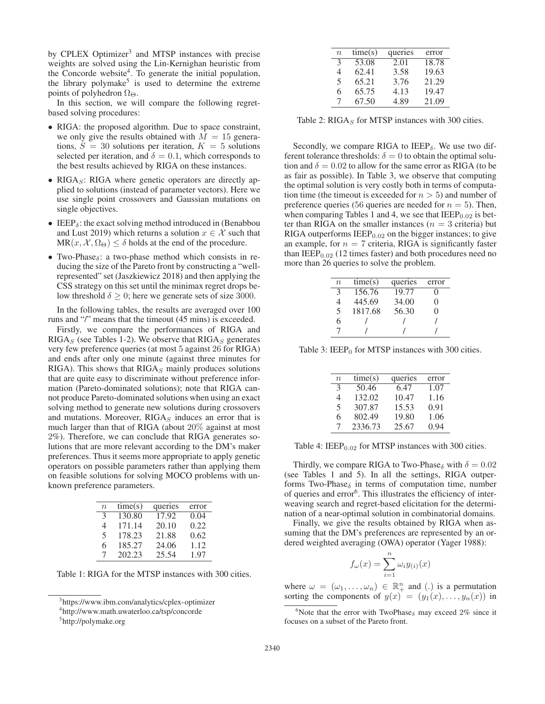by CPLEX Optimizer<sup>3</sup> and MTSP instances with precise weights are solved using the Lin-Kernighan heuristic from the Concorde website<sup>4</sup>. To generate the initial population, the library polymake<sup>5</sup> is used to determine the extreme points of polyhedron  $\Omega_{\Theta}$ .

In this section, we will compare the following regretbased solving procedures:

- RIGA: the proposed algorithm. Due to space constraint, we only give the results obtained with  $M = 15$  generations,  $S = 30$  solutions per iteration,  $K = 5$  solutions selected per iteration, and  $\delta = 0.1$ , which corresponds to the best results achieved by RIGA on these instances.
- RIGA $<sub>S</sub>$ : RIGA where genetic operators are directly ap-</sub> plied to solutions (instead of parameter vectors). Here we use single point crossovers and Gaussian mutations on single objectives.
- IEEP $_{\delta}$ : the exact solving method introduced in (Benabbou and Lust 2019) which returns a solution  $x \in \mathcal{X}$  such that  $MR(x, \mathcal{X}, \Omega_{\Theta}) \leq \delta$  holds at the end of the procedure.
- Two-Phase<sub> $\delta$ </sub>: a two-phase method which consists in reducing the size of the Pareto front by constructing a "wellrepresented" set (Jaszkiewicz 2018) and then applying the CSS strategy on this set until the minimax regret drops below threshold  $\delta \geq 0$ ; here we generate sets of size 3000.

In the following tables, the results are averaged over 100 runs and "/" means that the timeout (45 mins) is exceeded.

Firstly, we compare the performances of RIGA and  $RIGA<sub>S</sub>$  (see Tables 1-2). We observe that  $RIGA<sub>S</sub>$  generates very few preference queries (at most 5 against 26 for RIGA) and ends after only one minute (against three minutes for RIGA). This shows that  $RIGA<sub>S</sub>$  mainly produces solutions that are quite easy to discriminate without preference information (Pareto-dominated solutions); note that RIGA cannot produce Pareto-dominated solutions when using an exact solving method to generate new solutions during crossovers and mutations. Moreover,  $RIGA<sub>S</sub>$  induces an error that is much larger than that of RIGA (about 20% against at most 2%). Therefore, we can conclude that RIGA generates solutions that are more relevant according to the DM's maker preferences. Thus it seems more appropriate to apply genetic operators on possible parameters rather than applying them on feasible solutions for solving MOCO problems with unknown preference parameters.

| $\it{n}$ | time(s) | queries | error |
|----------|---------|---------|-------|
| 3        | 130.80  | 17.92   | 0.04  |
| 4        | 171.14  | 20.10   | 0.22  |
| 5        | 178.23  | 21.88   | 0.62  |
| 6        | 185.27  | 24.06   | 1.12  |
| $\tau$   | 202.23  | 25.54   | 1.97  |

Table 1: RIGA for the MTSP instances with 300 cities.

| $\boldsymbol{n}$         | time(s) | queries | error |
|--------------------------|---------|---------|-------|
| $\mathcal{F}$            | 53.08   | 2.01    | 18.78 |
| 4                        | 62.41   | 3.58    | 19.63 |
| $\overline{\mathcal{L}}$ | 65.21   | 3.76    | 21.29 |
| 6                        | 65.75   | 4.13    | 19.47 |
| 7                        | 67.50   | 4.89    | 21.09 |

Table 2:  $RIGA<sub>S</sub>$  for MTSP instances with 300 cities.

Secondly, we compare RIGA to IEEP $_{\delta}$ . We use two different tolerance thresholds:  $\delta = 0$  to obtain the optimal solution and  $\delta = 0.02$  to allow for the same error as RIGA (to be as fair as possible). In Table 3, we observe that computing the optimal solution is very costly both in terms of computation time (the timeout is exceeded for  $n > 5$ ) and number of preference queries (56 queries are needed for  $n = 5$ ). Then, when comparing Tables 1 and 4, we see that  $IEEP<sub>0.02</sub>$  is better than RIGA on the smaller instances ( $n = 3$  criteria) but RIGA outperforms  $IEEP<sub>0.02</sub>$  on the bigger instances; to give an example, for  $n = 7$  criteria, RIGA is significantly faster than  $IEEP<sub>0.02</sub>$  (12 times faster) and both procedures need no more than 26 queries to solve the problem.

| $n_{\rm}$ | time(s) | queries | error             |
|-----------|---------|---------|-------------------|
| 3         | 156.76  | 19.77   |                   |
| 4         | 445.69  | 34.00   | $\mathbf{\Omega}$ |
| 5         | 1817.68 | 56.30   | $\mathbf{\Omega}$ |
| 6         |         |         |                   |
|           |         |         |                   |
|           |         |         |                   |

Table 3: IEEP $_0$  for MTSP instances with 300 cities.

| $\boldsymbol{n}$ | time(s) | queries | error |
|------------------|---------|---------|-------|
| $\mathcal{R}$    | 50.46   | 6.47    | 1.07  |
| 4                | 132.02  | 10.47   | 1.16  |
| 5                | 307.87  | 15.53   | 0.91  |
| 6                | 802.49  | 19.80   | 1.06  |
| 7                | 2336.73 | 25.67   | 0.94  |

Table 4:  $IEEP<sub>0.02</sub>$  for MTSP instances with 300 cities.

Thirdly, we compare RIGA to Two-Phase<sub>δ</sub> with  $\delta = 0.02$ (see Tables 1 and 5). In all the settings, RIGA outperforms Two-Phase $\delta$  in terms of computation time, number of queries and error<sup>6</sup>. This illustrates the efficiency of interweaving search and regret-based elicitation for the determination of a near-optimal solution in combinatorial domains.

Finally, we give the results obtained by RIGA when assuming that the DM's preferences are represented by an ordered weighted averaging (OWA) operator (Yager 1988):

$$
f_{\omega}(x) = \sum_{i=1}^{n} \omega_i y_{(i)}(x)
$$

where  $\omega = (\omega_1, \dots, \omega_n) \in \mathbb{R}^n_+$  and (.) is a permutation sorting the components of  $u(x) = (u_1(x) - u_2(x))$  in sorting the components of  $y(x)=(y_1(x),...,y_n(x))$  in

<sup>3</sup> https://www.ibm.com/analytics/cplex-optimizer

<sup>4</sup> http://www.math.uwaterloo.ca/tsp/concorde

<sup>5</sup> http://polymake.org

<sup>&</sup>lt;sup>6</sup>Note that the error with TwoPhase<sub> $\delta$ </sub> may exceed 2% since it focuses on a subset of the Pareto front.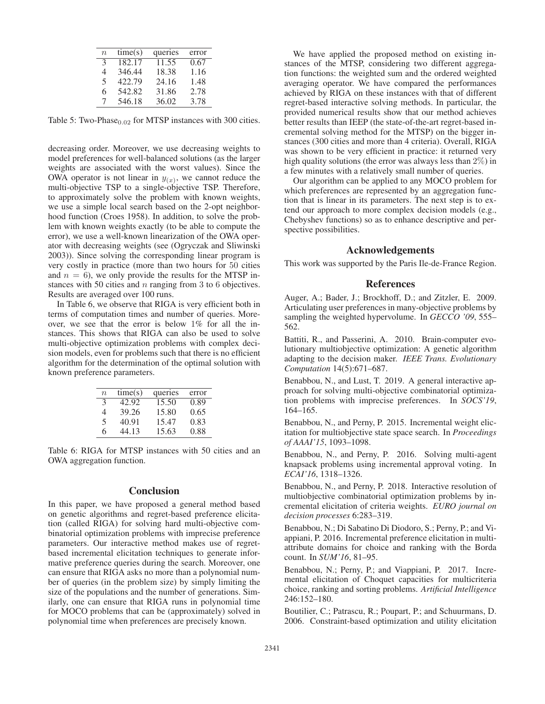| $\boldsymbol{n}$         | time(s) | queries | error |
|--------------------------|---------|---------|-------|
| 3                        | 182.17  | 11.55   | 0.67  |
| 4                        | 346.44  | 18.38   | 1.16  |
| $\overline{\mathcal{L}}$ | 422.79  | 24.16   | 1.48  |
| 6                        | 542.82  | 31.86   | 2.78  |
| 7                        | 546.18  | 36.02   | 3.78  |

Table 5: Two-Phase $_{0.02}$  for MTSP instances with 300 cities.

decreasing order. Moreover, we use decreasing weights to model preferences for well-balanced solutions (as the larger weights are associated with the worst values). Since the OWA operator is not linear in  $y(x)$ , we cannot reduce the multi-objective TSP to a single-objective TSP. Therefore, to approximately solve the problem with known weights, we use a simple local search based on the 2-opt neighborhood function (Croes 1958). In addition, to solve the problem with known weights exactly (to be able to compute the error), we use a well-known linearization of the OWA operator with decreasing weights (see (Ogryczak and Sliwinski 2003)). Since solving the corresponding linear program is very costly in practice (more than two hours for 50 cities and  $n = 6$ ), we only provide the results for the MTSP instances with 50 cities and  $n$  ranging from 3 to 6 objectives. Results are averaged over 100 runs.

In Table 6, we observe that RIGA is very efficient both in terms of computation times and number of queries. Moreover, we see that the error is below 1% for all the instances. This shows that RIGA can also be used to solve multi-objective optimization problems with complex decision models, even for problems such that there is no efficient algorithm for the determination of the optimal solution with known preference parameters.

| $\boldsymbol{n}$ | time(s) | queries | error |
|------------------|---------|---------|-------|
| 3                | 42.92   | 15.50   | 0.89  |
| 4                | 39.26   | 15.80   | 0.65  |
| 5                | 40.91   | 15.47   | 0.83  |
| 6                | 44.13   | 15.63   | 0.88  |

Table 6: RIGA for MTSP instances with 50 cities and an OWA aggregation function.

### **Conclusion**

In this paper, we have proposed a general method based on genetic algorithms and regret-based preference elicitation (called RIGA) for solving hard multi-objective combinatorial optimization problems with imprecise preference parameters. Our interactive method makes use of regretbased incremental elicitation techniques to generate informative preference queries during the search. Moreover, one can ensure that RIGA asks no more than a polynomial number of queries (in the problem size) by simply limiting the size of the populations and the number of generations. Similarly, one can ensure that RIGA runs in polynomial time for MOCO problems that can be (approximately) solved in polynomial time when preferences are precisely known.

We have applied the proposed method on existing instances of the MTSP, considering two different aggregation functions: the weighted sum and the ordered weighted averaging operator. We have compared the performances achieved by RIGA on these instances with that of different regret-based interactive solving methods. In particular, the provided numerical results show that our method achieves better results than IEEP (the state-of-the-art regret-based incremental solving method for the MTSP) on the bigger instances (300 cities and more than 4 criteria). Overall, RIGA was shown to be very efficient in practice: it returned very high quality solutions (the error was always less than 2%) in a few minutes with a relatively small number of queries.

Our algorithm can be applied to any MOCO problem for which preferences are represented by an aggregation function that is linear in its parameters. The next step is to extend our approach to more complex decision models (e.g., Chebyshev functions) so as to enhance descriptive and perspective possibilities.

## Acknowledgements

This work was supported by the Paris Ile-de-France Region.

### References

Auger, A.; Bader, J.; Brockhoff, D.; and Zitzler, E. 2009. Articulating user preferences in many-objective problems by sampling the weighted hypervolume. In *GECCO '09*, 555– 562.

Battiti, R., and Passerini, A. 2010. Brain-computer evolutionary multiobjective optimization: A genetic algorithm adapting to the decision maker. *IEEE Trans. Evolutionary Computation* 14(5):671–687.

Benabbou, N., and Lust, T. 2019. A general interactive approach for solving multi-objective combinatorial optimization problems with imprecise preferences. In *SOCS'19*, 164–165.

Benabbou, N., and Perny, P. 2015. Incremental weight elicitation for multiobjective state space search. In *Proceedings of AAAI'15*, 1093–1098.

Benabbou, N., and Perny, P. 2016. Solving multi-agent knapsack problems using incremental approval voting. In *ECAI'16*, 1318–1326.

Benabbou, N., and Perny, P. 2018. Interactive resolution of multiobjective combinatorial optimization problems by incremental elicitation of criteria weights. *EURO journal on decision processes* 6:283–319.

Benabbou, N.; Di Sabatino Di Diodoro, S.; Perny, P.; and Viappiani, P. 2016. Incremental preference elicitation in multiattribute domains for choice and ranking with the Borda count. In *SUM'16*, 81–95.

Benabbou, N.; Perny, P.; and Viappiani, P. 2017. Incremental elicitation of Choquet capacities for multicriteria choice, ranking and sorting problems. *Artificial Intelligence* 246:152–180.

Boutilier, C.; Patrascu, R.; Poupart, P.; and Schuurmans, D. 2006. Constraint-based optimization and utility elicitation